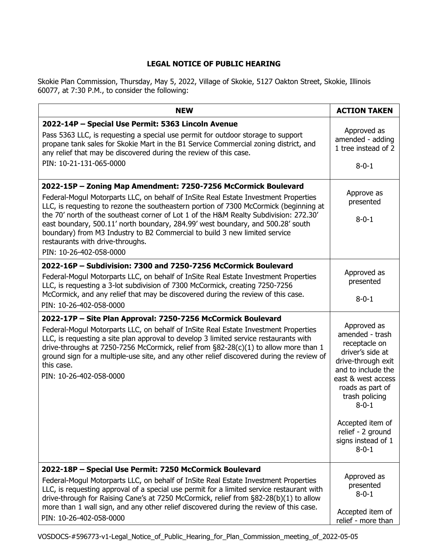## **LEGAL NOTICE OF PUBLIC HEARING**

Skokie Plan Commission, Thursday, May 5, 2022, Village of Skokie, 5127 Oakton Street, Skokie, Illinois 60077, at 7:30 P.M., to consider the following:

| <b>NEW</b>                                                                                                                                                                                                                                                                                                                                                                                                                                                                                                                                                              | <b>ACTION TAKEN</b>                                                                                                                                                                                                                                                      |
|-------------------------------------------------------------------------------------------------------------------------------------------------------------------------------------------------------------------------------------------------------------------------------------------------------------------------------------------------------------------------------------------------------------------------------------------------------------------------------------------------------------------------------------------------------------------------|--------------------------------------------------------------------------------------------------------------------------------------------------------------------------------------------------------------------------------------------------------------------------|
| 2022-14P - Special Use Permit: 5363 Lincoln Avenue<br>Pass 5363 LLC, is requesting a special use permit for outdoor storage to support<br>propane tank sales for Skokie Mart in the B1 Service Commercial zoning district, and<br>any relief that may be discovered during the review of this case.<br>PIN: 10-21-131-065-0000                                                                                                                                                                                                                                          | Approved as<br>amended - adding<br>1 tree instead of 2<br>$8 - 0 - 1$                                                                                                                                                                                                    |
| 2022-15P - Zoning Map Amendment: 7250-7256 McCormick Boulevard<br>Federal-Mogul Motorparts LLC, on behalf of InSite Real Estate Investment Properties<br>LLC, is requesting to rezone the southeastern portion of 7300 McCormick (beginning at<br>the 70' north of the southeast corner of Lot 1 of the H&M Realty Subdivision: 272.30'<br>east boundary, 500.11' north boundary, 284.99' west boundary, and 500.28' south<br>boundary) from M3 Industry to B2 Commercial to build 3 new limited service<br>restaurants with drive-throughs.<br>PIN: 10-26-402-058-0000 | Approve as<br>presented<br>$8 - 0 - 1$                                                                                                                                                                                                                                   |
| 2022-16P - Subdivision: 7300 and 7250-7256 McCormick Boulevard<br>Federal-Mogul Motorparts LLC, on behalf of InSite Real Estate Investment Properties<br>LLC, is requesting a 3-lot subdivision of 7300 McCormick, creating 7250-7256<br>McCormick, and any relief that may be discovered during the review of this case.<br>PIN: 10-26-402-058-0000                                                                                                                                                                                                                    | Approved as<br>presented<br>$8 - 0 - 1$                                                                                                                                                                                                                                  |
| 2022-17P – Site Plan Approval: 7250-7256 McCormick Boulevard<br>Federal-Mogul Motorparts LLC, on behalf of InSite Real Estate Investment Properties<br>LLC, is requesting a site plan approval to develop 3 limited service restaurants with<br>drive-throughs at 7250-7256 McCormick, relief from §82-28(c)(1) to allow more than 1<br>ground sign for a multiple-use site, and any other relief discovered during the review of<br>this case.<br>PIN: 10-26-402-058-0000                                                                                              | Approved as<br>amended - trash<br>receptacle on<br>driver's side at<br>drive-through exit<br>and to include the<br>east & west access<br>roads as part of<br>trash policing<br>$8 - 0 - 1$<br>Accepted item of<br>relief - 2 ground<br>signs instead of 1<br>$8 - 0 - 1$ |
| 2022-18P - Special Use Permit: 7250 McCormick Boulevard<br>Federal-Mogul Motorparts LLC, on behalf of InSite Real Estate Investment Properties<br>LLC, is requesting approval of a special use permit for a limited service restaurant with<br>drive-through for Raising Cane's at 7250 McCormick, relief from §82-28(b)(1) to allow<br>more than 1 wall sign, and any other relief discovered during the review of this case.<br>PIN: 10-26-402-058-0000                                                                                                               | Approved as<br>presented<br>$8 - 0 - 1$<br>Accepted item of<br>relief - more than                                                                                                                                                                                        |

VOSDOCS-#596773-v1-Legal\_Notice\_of\_Public\_Hearing\_for\_Plan\_Commission\_meeting\_of\_2022-05-05